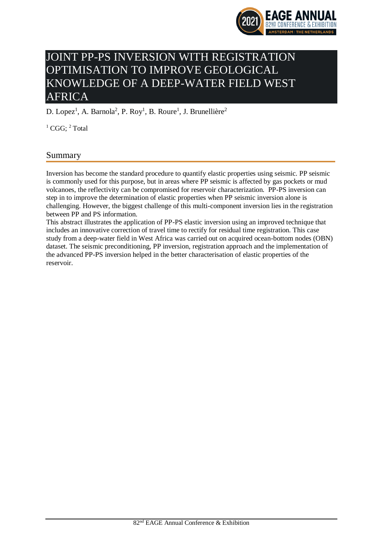

# JOINT PP-PS INVERSION WITH REGISTRATION OPTIMISATION TO IMPROVE GEOLOGICAL KNOWLEDGE OF A DEEP-WATER FIELD WEST AFRICA

D. Lopez<sup>1</sup>, A. Barnola<sup>2</sup>, P. Roy<sup>1</sup>, B. Roure<sup>1</sup>, J. Brunellière<sup>2</sup>

 $1 \text{ CGG}$ :  $2 \text{ Total}$ 

# Summary

Inversion has become the standard procedure to quantify elastic properties using seismic. PP seismic is commonly used for this purpose, but in areas where PP seismic is affected by gas pockets or mud volcanoes, the reflectivity can be compromised for reservoir characterization. PP-PS inversion can step in to improve the determination of elastic properties when PP seismic inversion alone is challenging. However, the biggest challenge of this multi-component inversion lies in the registration between PP and PS information.

This abstract illustrates the application of PP-PS elastic inversion using an improved technique that includes an innovative correction of travel time to rectify for residual time registration. This case study from a deep-water field in West Africa was carried out on acquired ocean-bottom nodes (OBN) dataset. The seismic preconditioning, PP inversion, registration approach and the implementation of the advanced PP-PS inversion helped in the better characterisation of elastic properties of the reservoir.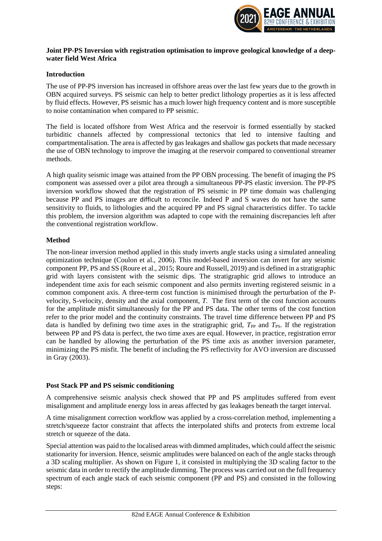

### **Joint PP-PS Inversion with registration optimisation to improve geological knowledge of a deepwater field West Africa**

#### **Introduction**

The use of PP-PS inversion has increased in offshore areas over the last few years due to the growth in OBN acquired surveys. PS seismic can help to better predict lithology properties as it is less affected by fluid effects. However, PS seismic has a much lower high frequency content and is more susceptible to noise contamination when compared to PP seismic.

The field is located offshore from West Africa and the reservoir is formed essentially by stacked turbiditic channels affected by compressional tectonics that led to intensive faulting and compartmentalisation. The area is affected by gas leakages and shallow gas pockets that made necessary the use of OBN technology to improve the imaging at the reservoir compared to conventional streamer methods.

A high quality seismic image was attained from the PP OBN processing. The benefit of imaging the PS component was assessed over a pilot area through a simultaneous PP-PS elastic inversion. The PP-PS inversion workflow showed that the registration of PS seismic in PP time domain was challenging because PP and PS images are difficult to reconcile. Indeed P and S waves do not have the same sensitivity to fluids, to lithologies and the acquired PP and PS signal characteristics differ. To tackle this problem, the inversion algorithm was adapted to cope with the remaining discrepancies left after the conventional registration workflow.

# **Method**

The non-linear inversion method applied in this study inverts angle stacks using a simulated annealing optimization technique (Coulon et al., 2006). This model-based inversion can invert for any seismic component PP, PS and SS (Roure et al., 2015; Roure and Russell, 2019) and is defined in a stratigraphic grid with layers consistent with the seismic dips. The stratigraphic grid allows to introduce an independent time axis for each seismic component and also permits inverting registered seismic in a common component axis. A three-term cost function is minimised through the perturbation of the Pvelocity, S-velocity, density and the axial component, *T*. The first term of the cost function accounts for the amplitude misfit simultaneously for the PP and PS data. The other terms of the cost function refer to the prior model and the continuity constraints. The travel time difference between PP and PS data is handled by defining two time axes in the stratigraphic grid,  $T_{PP}$  and  $T_{PS}$ . If the registration between PP and PS data is perfect, the two time axes are equal. However, in practice, registration error can be handled by allowing the perturbation of the PS time axis as another inversion parameter, minimizing the PS misfit. The benefit of including the PS reflectivity for AVO inversion are discussed in Gray (2003).

#### **Post Stack PP and PS seismic conditioning**

A comprehensive seismic analysis check showed that PP and PS amplitudes suffered from event misalignment and amplitude energy loss in areas affected by gas leakages beneath the target interval.

A time misalignment correction workflow was applied by a cross-correlation method, implementing a stretch/squeeze factor constraint that affects the interpolated shifts and protects from extreme local stretch or squeeze of the data.

Special attention was paid to the localised areas with dimmed amplitudes, which could affect the seismic stationarity for inversion. Hence, seismic amplitudes were balanced on each of the angle stacks through a 3D scaling multiplier. As shown on Figure 1, it consisted in multiplying the 3D scaling factor to the seismic data in order to rectify the amplitude dimming. The process was carried out on the full frequency spectrum of each angle stack of each seismic component (PP and PS) and consisted in the following steps: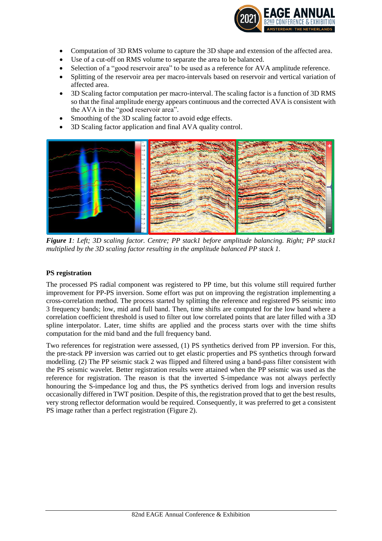

- Computation of 3D RMS volume to capture the 3D shape and extension of the affected area.
- Use of a cut-off on RMS volume to separate the area to be balanced.
- Selection of a "good reservoir area" to be used as a reference for AVA amplitude reference.
- Splitting of the reservoir area per macro-intervals based on reservoir and vertical variation of affected area.
- 3D Scaling factor computation per macro-interval. The scaling factor is a function of 3D RMS so that the final amplitude energy appears continuous and the corrected AVA is consistent with the AVA in the "good reservoir area".
- Smoothing of the 3D scaling factor to avoid edge effects.
- 3D Scaling factor application and final AVA quality control.



*Figure 1: Left; 3D scaling factor. Centre; PP stack1 before amplitude balancing. Right; PP stack1 multiplied by the 3D scaling factor resulting in the amplitude balanced PP stack 1.*

# **PS registration**

The processed PS radial component was registered to PP time, but this volume still required further improvement for PP-PS inversion. Some effort was put on improving the registration implementing a cross-correlation method. The process started by splitting the reference and registered PS seismic into 3 frequency bands; low, mid and full band. Then, time shifts are computed for the low band where a correlation coefficient threshold is used to filter out low correlated points that are later filled with a 3D spline interpolator. Later, time shifts are applied and the process starts over with the time shifts computation for the mid band and the full frequency band.

Two references for registration were assessed, (1) PS synthetics derived from PP inversion. For this, the pre-stack PP inversion was carried out to get elastic properties and PS synthetics through forward modelling. (2) The PP seismic stack 2 was flipped and filtered using a band-pass filter consistent with the PS seismic wavelet. Better registration results were attained when the PP seismic was used as the reference for registration. The reason is that the inverted S-impedance was not always perfectly honouring the S-impedance log and thus, the PS synthetics derived from logs and inversion results occasionally differed in TWT position. Despite of this, the registration proved that to get the best results, very strong reflector deformation would be required. Consequently, it was preferred to get a consistent PS image rather than a perfect registration (Figure 2).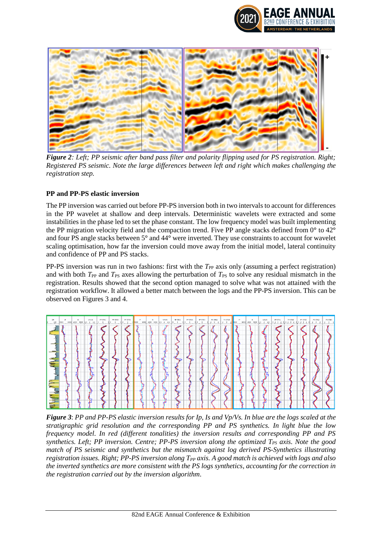



*Figure 2: Left; PP seismic after band pass filter and polarity flipping used for PS registration. Right; Registered PS seismic. Note the large differences between left and right which makes challenging the registration step.*

# **PP and PP-PS elastic inversion**

The PP inversion was carried out before PP-PS inversion both in two intervals to account for differences in the PP wavelet at shallow and deep intervals. Deterministic wavelets were extracted and some instabilities in the phase led to set the phase constant. The low frequency model was built implementing the PP migration velocity field and the compaction trend. Five PP angle stacks defined from 0**°** to 42**°** and four PS angle stacks between 5**°** and 44**°** were inverted. They use constraints to account for wavelet scaling optimisation, how far the inversion could move away from the initial model, lateral continuity and confidence of PP and PS stacks.

PP-PS inversion was run in two fashions: first with the *T*<sub>PP</sub> axis only (assuming a perfect registration) and with both *T*<sub>PP</sub> and *T*<sub>PS</sub> axes allowing the perturbation of *T*<sub>PS</sub> to solve any residual mismatch in the registration. Results showed that the second option managed to solve what was not attained with the registration workflow. It allowed a better match between the logs and the PP-PS inversion. This can be observed on Figures 3 and 4.



*Figure 3*: *PP and PP-PS elastic inversion results for Ip, Is and Vp/Vs. In blue are the logs scaled at the stratigraphic grid resolution and the corresponding PP and PS synthetics. In light blue the low frequency model. In red (different tonalities) the inversion results and corresponding PP and PS synthetics. Left; PP inversion. Centre; PP-PS inversion along the optimized TPS axis. Note the good match of PS seismic and synthetics but the mismatch against log derived PS-Synthetics illustrating registration issues. Right; PP-PS inversion along TPP axis. A good match is achieved with logs and also the inverted synthetics are more consistent with the PS logs synthetics, accounting for the correction in the registration carried out by the inversion algorithm*.